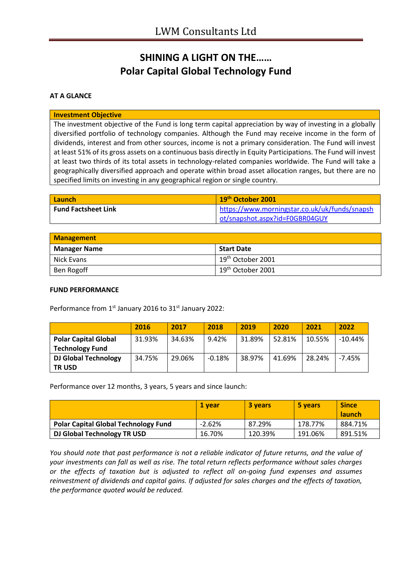# **SHINING A LIGHT ON THE…… Polar Capital Global Technology Fund**

### **AT A GLANCE**

#### **Investment Objective**

The investment objective of the Fund is long term capital appreciation by way of investing in a globally diversified portfolio of technology companies. Although the Fund may receive income in the form of dividends, interest and from other sources, income is not a primary consideration. The Fund will invest at least 51% of its gross assets on a continuous basis directly in Equity Participations. The Fund will invest at least two thirds of its total assets in technology-related companies worldwide. The Fund will take a geographically diversified approach and operate within broad asset allocation ranges, but there are no specified limits on investing in any geographical region or single country.

| <b>Launch</b>              | 19 <sup>th</sup> October 2001                 |
|----------------------------|-----------------------------------------------|
| <b>Fund Factsheet Link</b> | https://www.morningstar.co.uk/uk/funds/snapsh |
|                            | ot/snapshot.aspx?id=F0GBR04GUY                |

| <b>Management</b>   |                               |  |
|---------------------|-------------------------------|--|
| <b>Manager Name</b> | <b>Start Date</b>             |  |
| Nick Evans          | $19th$ October 2001           |  |
| Ben Rogoff          | 19 <sup>th</sup> October 2001 |  |

#### **FUND PERFORMANCE**

Performance from 1<sup>st</sup> January 2016 to 31<sup>st</sup> January 2022:

|                             | 2016   | 2017   | 2018     | 2019   | 2020   | 2021   | 2022      |
|-----------------------------|--------|--------|----------|--------|--------|--------|-----------|
| <b>Polar Capital Global</b> | 31.93% | 34.63% | 9.42%    | 31.89% | 52.81% | 10.55% | $-10.44%$ |
| <b>Technology Fund</b>      |        |        |          |        |        |        |           |
| <b>DJ Global Technology</b> | 34.75% | 29.06% | $-0.18%$ | 38.97% | 41.69% | 28.24% | $-7.45%$  |
| <b>TRUSD</b>                |        |        |          |        |        |        |           |

Performance over 12 months, 3 years, 5 years and since launch:

|                                             | 1 vear   | <b>3 years</b> | 5 years | <b>Since</b><br><b>launch</b> |
|---------------------------------------------|----------|----------------|---------|-------------------------------|
| <b>Polar Capital Global Technology Fund</b> | $-2.62%$ | 87.29%         | 178.77% | 884.71%                       |
| DJ Global Technology TR USD                 | 16.70%   | 120.39%        | 191.06% | 891.51%                       |

*You should note that past performance is not a reliable indicator of future returns, and the value of your investments can fall as well as rise. The total return reflects performance without sales charges or the effects of taxation but is adjusted to reflect all on-going fund expenses and assumes reinvestment of dividends and capital gains. If adjusted for sales charges and the effects of taxation, the performance quoted would be reduced.*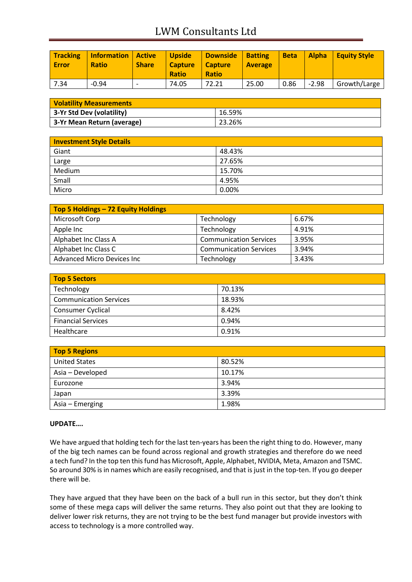# LWM Consultants Ltd

| <b>Tracking</b><br><b>Error</b> | <b>Information</b><br><b>Ratio</b> | <b>Active</b><br><b>Share</b> | <b>Upside</b><br><b>Capture</b><br><b>Ratio</b> | <b>Downside</b><br><b>Capture</b><br><b>Ratio</b> | <b>Batting</b><br><b>Average</b> | <b>Beta</b> | <b>Alpha</b> | <b>Equity Style</b> |
|---------------------------------|------------------------------------|-------------------------------|-------------------------------------------------|---------------------------------------------------|----------------------------------|-------------|--------------|---------------------|
| 7.34                            | $-0.94$                            | $\overline{\phantom{0}}$      | 74.05                                           | 72.21                                             | 25.00                            | 0.86        | $-2.98$      | Growth/Large        |

| <b>Volatility Measurements</b> |        |  |
|--------------------------------|--------|--|
| 3-Yr Std Dev (volatility)      | 16.59% |  |
| 3-Yr Mean Return (average)     | 23.26% |  |

| <b>Investment Style Details</b> |        |  |
|---------------------------------|--------|--|
| Giant                           | 48.43% |  |
| Large                           | 27.65% |  |
| Medium                          | 15.70% |  |
| Small                           | 4.95%  |  |
| Micro                           | 0.00%  |  |

| Top 5 Holdings - 72 Equity Holdings |                               |       |
|-------------------------------------|-------------------------------|-------|
| Microsoft Corp                      | Technology                    | 6.67% |
| Apple Inc                           | Technology                    | 4.91% |
| Alphabet Inc Class A                | <b>Communication Services</b> | 3.95% |
| Alphabet Inc Class C                | <b>Communication Services</b> | 3.94% |
| <b>Advanced Micro Devices Inc.</b>  | Technology                    | 3.43% |

| <b>Top 5 Sectors</b>          |        |
|-------------------------------|--------|
| Technology                    | 70.13% |
| <b>Communication Services</b> | 18.93% |
| Consumer Cyclical             | 8.42%  |
| <b>Financial Services</b>     | 0.94%  |
| Healthcare                    | 0.91%  |

| <b>Top 5 Regions</b> |        |  |
|----------------------|--------|--|
| <b>United States</b> | 80.52% |  |
| Asia - Developed     | 10.17% |  |
| Eurozone             | 3.94%  |  |
| Japan                | 3.39%  |  |
| Asia – Emerging      | 1.98%  |  |

### **UPDATE….**

We have argued that holding tech for the last ten-years has been the right thing to do. However, many of the big tech names can be found across regional and growth strategies and therefore do we need a tech fund? In the top ten this fund has Microsoft, Apple, Alphabet, NVIDIA, Meta, Amazon and TSMC. So around 30% is in names which are easily recognised, and that is just in the top-ten. If you go deeper there will be.

They have argued that they have been on the back of a bull run in this sector, but they don't think some of these mega caps will deliver the same returns. They also point out that they are looking to deliver lower risk returns, they are not trying to be the best fund manager but provide investors with access to technology is a more controlled way.